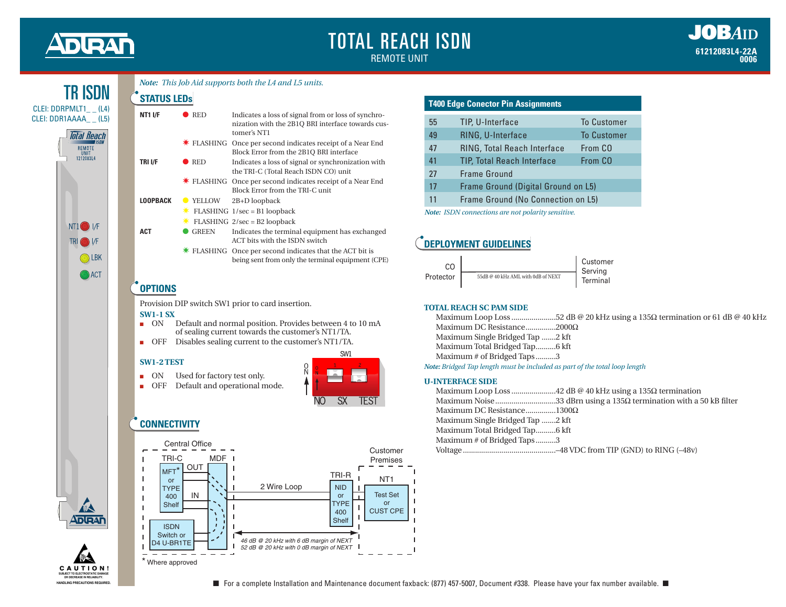# DIEA

# TOTAL REACH ISDN REMOTE UNIT



|  | Note: This Job Aid supports both the L4 and L5 units. |  |  |
|--|-------------------------------------------------------|--|--|
|  |                                                       |  |  |

| <b>STATUS LEDs</b>                                                    |                               |                                                                                                                         |  |
|-----------------------------------------------------------------------|-------------------------------|-------------------------------------------------------------------------------------------------------------------------|--|
| <b>NT1 I/F</b>                                                        | <b>RED</b>                    | Indicates a loss of signal from or loss of synchro-<br>nization with the 2B1Q BRI interface towards cus-<br>tomer's NT1 |  |
|                                                                       |                               | <b>★ FLASHING</b> Once per second indicates receipt of a Near End<br>Block Error from the 2B1Q BRI interface            |  |
| TRI I/F                                                               | $\bullet$ RED                 | Indicates a loss of signal or synchronization with<br>the TRI-C (Total Reach ISDN CO) unit                              |  |
|                                                                       |                               | <b>★ FLASHING</b> Once per second indicates receipt of a Near End<br>Block Error from the TRI-C unit                    |  |
| <b>LOOPBACK</b>                                                       | <b>YELLOW</b>                 | 2B+D loopback                                                                                                           |  |
|                                                                       |                               | $FLASHING$ $1/sec = B1$ loopback                                                                                        |  |
|                                                                       |                               | $\star$ FLASHING 2/sec = B2 loopback                                                                                    |  |
| <b>ACT</b>                                                            | <b>GREEN</b>                  | Indicates the terminal equipment has exchanged<br>ACT bits with the ISDN switch                                         |  |
|                                                                       |                               | <b>★ FLASHING</b> Once per second indicates that the ACT bit is<br>being sent from only the terminal equipment (CPE)    |  |
| <b>OPTIONS</b>                                                        |                               |                                                                                                                         |  |
|                                                                       |                               | Provision DIP switch SW1 prior to card insertion.                                                                       |  |
| <b>SW1-1 SX</b>                                                       |                               |                                                                                                                         |  |
| <b>ON</b><br>Default and normal position. Provides between 4 to 10 mA |                               |                                                                                                                         |  |
| of sealing current towards the customer's NT1/TA.                     |                               |                                                                                                                         |  |
| OFF                                                                   |                               | Disables sealing current to the customer's NT1/TA.                                                                      |  |
| <b>SW1-2 TEST</b>                                                     |                               | SW1                                                                                                                     |  |
|                                                                       |                               | Q<br>N                                                                                                                  |  |
| ON                                                                    | Used for factory test only.   |                                                                                                                         |  |
| OFF                                                                   | Default and operational mode. | NO<br>SX                                                                                                                |  |

## **CONNECTIVITY**



| <b>T400 Edge Conector Pin Assignments</b> |                                     |                    |  |  |
|-------------------------------------------|-------------------------------------|--------------------|--|--|
| 55                                        | TIP, U-Interface                    | <b>To Customer</b> |  |  |
| 49                                        | <b>RING, U-Interface</b>            | <b>To Customer</b> |  |  |
| 47                                        | <b>RING, Total Reach Interface</b>  | From CO            |  |  |
| 41                                        | <b>TIP, Total Reach Interface</b>   | From CO            |  |  |
| 27                                        | Frame Ground                        |                    |  |  |
| 17                                        | Frame Ground (Digital Ground on L5) |                    |  |  |
| 11                                        | Frame Ground (No Connection on L5)  |                    |  |  |

*Note: ISDN connections are not polarity sensitive.*

## **DEPLOYMENT GUIDELINES**

| CO.       |                                    | Customer<br>Servina |
|-----------|------------------------------------|---------------------|
| Protector | 55dB @ 40 kHz AML with 0dB of NEXT | Terminal            |

#### **TOTAL REACH SC PAM SIDE**

|                                                                            | Maximum Loop Loss 52 dB @ 20 kHz using a 135 $\Omega$ termination or 61 dB @ 40 kHz |
|----------------------------------------------------------------------------|-------------------------------------------------------------------------------------|
| Maximum DC Resistance2000 $\Omega$                                         |                                                                                     |
| Maximum Single Bridged Tap 2 kft                                           |                                                                                     |
| Maximum Total Bridged Tap6 kft                                             |                                                                                     |
| Maximum # of Bridged Taps3                                                 |                                                                                     |
| Note: Bridged Tap length must be included as part of the total loop length |                                                                                     |

#### **U-INTERFACE SIDE**

| Maximum DC Resistance1300 $\Omega$ |  |
|------------------------------------|--|
| Maximum Single Bridged Tap 2 kft   |  |
| Maximum Total Bridged Tap6 kft     |  |
| Maximum # of Bridged Taps3         |  |
|                                    |  |